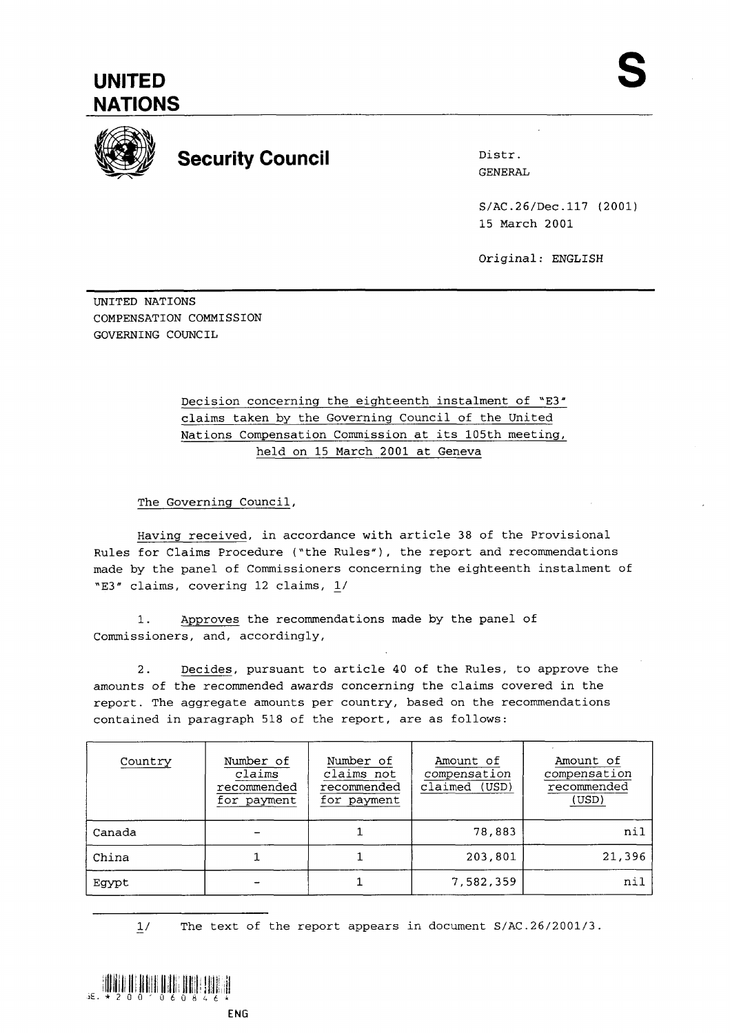



## **Security Council Distrimate Security Council**

GENERAL

S/AC.26/Dec.117 (2001) 15 March 2001

Original: ENGLISH

UNITED NATIONS COMPENSATION COMMISSION GOVERNING COUNCIL

> Decision concerning the eighteenth instalment of "E3" claims taken by the Governing Council of the United Nations Compensation Commission at its 105th meeting, held on 15 March 2001 at Geneva

The Governing Council,

Having received, in accordance with article 38 of the Provisional Rules for Claims Procedure ("the Rules"), the report and recommendations made by the panel of Commissioners concerning the eighteenth instalment of "E3" claims, covering 12 claims, L/

1. Approves the recommendations made by the panel of Commissioners, and, accordingly,

2. Decides, pursuant to article 40 of the Rules, to approve the amounts of the recommended awards concerning the claims covered in the report. The aggregate amounts per country, based on the recommendations contained in paragraph 518 of the report, are as follows:

| Country | Number of<br>claims<br>recommended<br>for payment | Number of<br>claims not<br>recommended<br>for payment | Amount of<br>compensation<br>claimed (USD) | Amount of<br>compensation<br>recommended<br>(USD) |
|---------|---------------------------------------------------|-------------------------------------------------------|--------------------------------------------|---------------------------------------------------|
| Canada  |                                                   |                                                       | 78,883                                     | nil                                               |
| China   |                                                   |                                                       | 203,801                                    | 21,396                                            |
| Egypt   |                                                   |                                                       | 7,582,359                                  | nil                                               |

 $1/$ The text of the report appears in document  $S/AC.26/2001/3$ .